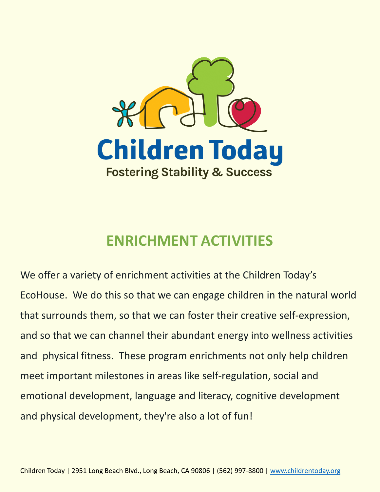

## **ENRICHMENT ACTIVITIES**

We offer a variety of enrichment activities at the Children Today's EcoHouse. We do this so that we can engage children in the natural world that surrounds them, so that we can foster their creative self-expression, and so that we can channel their abundant energy into wellness activities and physical fitness. These program enrichments not only help children meet important milestones in areas like self-regulation, social and emotional development, language and literacy, cognitive development and physical development, they're also a lot of fun!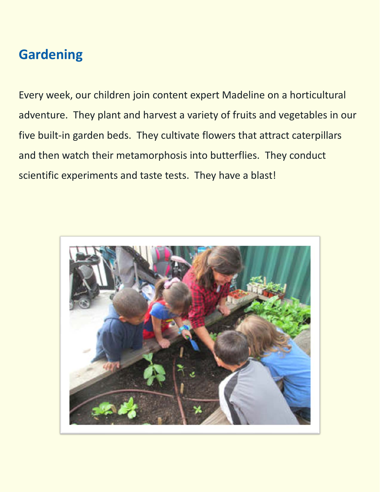## **Gardening**

Every week, our children join content expert Madeline on a horticultural adventure. They plant and harvest a variety of fruits and vegetables in our five built-in garden beds. They cultivate flowers that attract caterpillars and then watch their metamorphosis into butterflies. They conduct scientific experiments and taste tests. They have a blast!

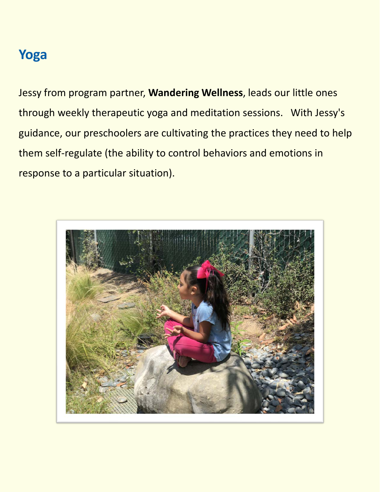## **Yoga**

Jessy from program partner, **Wandering Wellness**, leads our little ones through weekly therapeutic yoga and meditation sessions. With Jessy's guidance, our preschoolers are cultivating the practices they need to help them self-regulate (the ability to control behaviors and emotions in response to a particular situation).